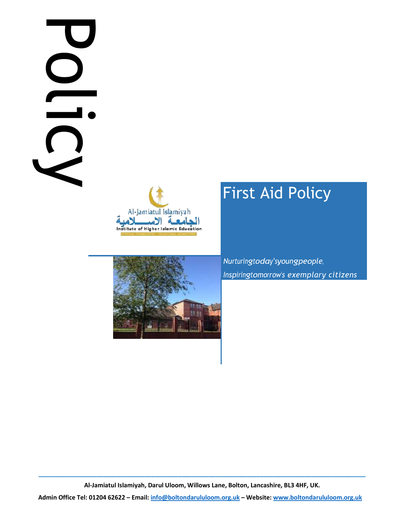# Policy is





# First Aid Policy

Nurturingtoday'syoungpeople, Inspiringtomorrow's exemplary citizens

\_\_\_\_\_\_\_\_\_\_\_\_\_\_\_\_\_\_\_\_\_\_\_\_\_\_\_\_\_\_\_\_\_\_\_\_\_\_\_\_\_\_\_\_\_\_\_\_\_\_\_\_\_\_\_\_\_\_\_\_\_\_\_\_\_\_\_\_\_\_\_\_\_\_\_\_\_\_\_\_\_\_\_\_\_\_\_\_\_\_\_\_\_\_\_\_ Al-Jamiatul Islamiyah, Darul Uloom, Willows Lane, Bolton, Lancashire, BL3 4HF, UK.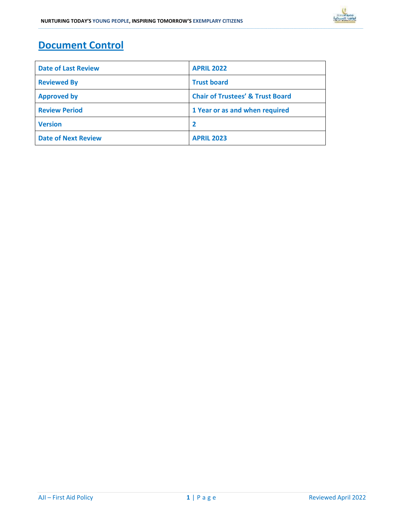## Document Control

| <b>Date of Last Review</b> | <b>APRIL 2022</b>                           |  |
|----------------------------|---------------------------------------------|--|
| <b>Reviewed By</b>         | <b>Trust board</b>                          |  |
| <b>Approved by</b>         | <b>Chair of Trustees' &amp; Trust Board</b> |  |
| <b>Review Period</b>       | 1 Year or as and when required              |  |
| <b>Version</b>             |                                             |  |
| <b>Date of Next Review</b> | <b>APRIL 2023</b>                           |  |

\_\_\_\_\_\_\_\_\_\_\_\_\_\_\_\_\_\_\_\_\_\_\_\_\_\_\_\_\_\_\_\_\_\_\_\_\_\_\_\_\_\_\_\_\_\_\_\_\_\_\_\_\_\_\_\_\_\_\_\_\_\_\_\_\_\_\_\_\_\_\_\_\_\_\_\_\_\_\_\_\_\_\_\_\_\_\_\_\_\_\_\_\_\_\_\_\_\_\_\_\_\_\_\_\_\_\_\_\_\_\_\_\_\_\_\_\_\_\_\_\_\_\_\_\_\_\_\_\_\_\_\_\_\_\_\_\_\_\_\_\_\_\_\_\_\_\_\_\_\_\_\_\_\_\_\_\_\_\_\_\_\_\_\_\_\_\_\_\_\_\_\_\_\_\_\_\_\_\_\_\_\_\_\_\_\_\_\_\_\_\_\_\_\_\_\_\_\_\_\_\_\_\_\_\_\_\_\_\_\_\_\_\_\_\_\_\_\_\_\_\_\_\_\_\_\_\_\_\_\_\_\_\_\_\_\_\_\_\_\_\_\_\_\_\_\_\_\_\_\_\_\_\_\_\_\_\_\_\_\_\_\_\_\_\_\_\_\_\_\_\_\_\_\_\_\_\_\_\_\_\_\_\_\_\_\_\_\_\_\_\_\_\_\_\_\_\_\_\_\_\_\_\_\_\_\_\_\_\_\_\_\_\_\_\_\_\_\_\_\_\_\_\_\_\_\_\_\_\_\_\_\_\_\_\_\_\_\_\_\_\_\_\_\_\_\_\_\_\_\_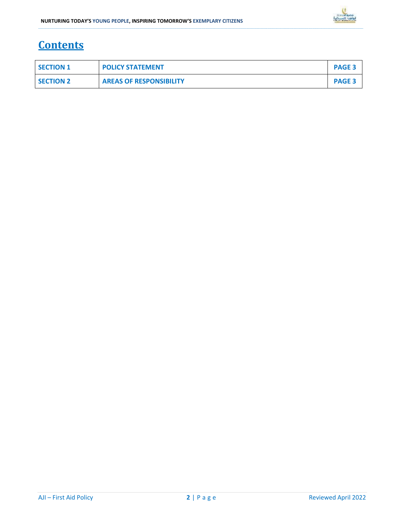

### **Contents**

| <b>SECTION 1</b> | <b>POLICY STATEMENT</b>        | <b>PAGE 3</b> |
|------------------|--------------------------------|---------------|
| <b>SECTION 2</b> | <b>AREAS OF RESPONSIBILITY</b> | <b>PAGE 3</b> |

\_\_\_\_\_\_\_\_\_\_\_\_\_\_\_\_\_\_\_\_\_\_\_\_\_\_\_\_\_\_\_\_\_\_\_\_\_\_\_\_\_\_\_\_\_\_\_\_\_\_\_\_\_\_\_\_\_\_\_\_\_\_\_\_\_\_\_\_\_\_\_\_\_\_\_\_\_\_\_\_\_\_\_\_\_\_\_\_\_\_\_\_\_\_\_\_\_\_\_\_\_\_\_\_\_\_\_\_\_\_\_\_\_\_\_\_\_\_\_\_\_\_\_\_\_\_\_\_\_\_\_\_\_\_\_\_\_\_\_\_\_\_\_\_\_\_\_\_\_\_\_\_\_\_\_\_\_\_\_\_\_\_\_\_\_\_\_\_\_\_\_\_\_\_\_\_\_\_\_\_\_\_\_\_\_\_\_\_\_\_\_\_\_\_\_\_\_\_\_\_\_\_\_\_\_\_\_\_\_\_\_\_\_\_\_\_\_\_\_\_\_\_\_\_\_\_\_\_\_\_\_\_\_\_\_\_\_\_\_\_\_\_\_\_\_\_\_\_\_\_\_\_\_\_\_\_\_\_\_\_\_\_\_\_\_\_\_\_\_\_\_\_\_\_\_\_\_\_\_\_\_\_\_\_\_\_\_\_\_\_\_\_\_\_\_\_\_\_\_\_\_\_\_\_\_\_\_\_\_\_\_\_\_\_\_\_\_\_\_\_\_\_\_\_\_\_\_\_\_\_\_\_\_\_\_\_\_\_\_\_\_\_\_\_\_\_\_\_\_\_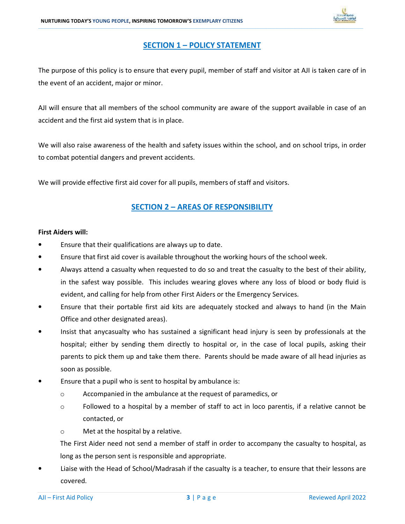

### SECTION 1 – POLICY STATEMENT

\_\_\_\_\_\_\_\_\_\_\_\_\_\_\_\_\_\_\_\_\_\_\_\_\_\_\_\_\_\_\_\_\_\_\_\_\_\_\_\_\_\_\_\_\_\_\_\_\_\_\_\_\_\_\_\_\_\_\_\_\_\_\_\_\_\_\_\_\_\_\_\_\_\_\_\_\_\_\_\_\_\_\_\_\_\_\_\_\_\_\_\_\_\_\_\_\_\_\_\_\_\_\_\_\_\_\_\_\_\_\_\_\_\_\_\_\_\_\_\_\_\_\_\_\_\_\_\_\_\_\_\_\_\_\_\_\_\_\_\_\_\_\_\_\_\_\_\_\_\_\_\_\_\_\_\_\_\_\_\_\_\_\_\_\_\_\_\_\_\_\_\_\_\_\_\_\_\_\_\_\_\_\_\_\_\_\_\_\_\_\_\_\_\_\_\_\_\_\_\_\_\_\_\_\_\_\_\_\_\_\_\_\_\_\_\_\_\_\_\_\_\_\_\_\_\_\_\_\_\_\_\_\_\_\_\_\_\_\_\_\_\_\_\_\_\_\_\_\_\_\_\_\_\_\_\_\_\_\_\_\_\_\_\_\_\_\_\_\_\_\_\_\_\_\_\_\_\_\_\_\_\_\_\_\_\_\_\_\_\_\_\_\_\_\_\_\_\_\_\_\_\_\_\_\_\_\_\_\_\_\_\_\_\_\_\_\_\_\_\_\_\_\_\_\_\_\_\_\_\_\_\_\_\_\_\_\_\_\_\_\_\_\_\_\_\_\_\_\_\_

The purpose of this policy is to ensure that every pupil, member of staff and visitor at AJI is taken care of in the event of an accident, major or minor.

AJI will ensure that all members of the school community are aware of the support available in case of an accident and the first aid system that is in place.

We will also raise awareness of the health and safety issues within the school, and on school trips, in order to combat potential dangers and prevent accidents.

We will provide effective first aid cover for all pupils, members of staff and visitors.

### SECTION 2 – AREAS OF RESPONSIBILITY

### First Aiders will:

- Ensure that their qualifications are always up to date.
- Ensure that first aid cover is available throughout the working hours of the school week.
- Always attend a casualty when requested to do so and treat the casualty to the best of their ability, in the safest way possible. This includes wearing gloves where any loss of blood or body fluid is evident, and calling for help from other First Aiders or the Emergency Services.
- Ensure that their portable first aid kits are adequately stocked and always to hand (in the Main Office and other designated areas).
- Insist that anycasualty who has sustained a significant head injury is seen by professionals at the hospital; either by sending them directly to hospital or, in the case of local pupils, asking their parents to pick them up and take them there. Parents should be made aware of all head injuries as soon as possible.
- Ensure that a pupil who is sent to hospital by ambulance is:
	- o Accompanied in the ambulance at the request of paramedics, or
	- $\circ$  Followed to a hospital by a member of staff to act in loco parentis, if a relative cannot be contacted, or
	- o Met at the hospital by a relative.

The First Aider need not send a member of staff in order to accompany the casualty to hospital, as long as the person sent is responsible and appropriate.

• Liaise with the Head of School/Madrasah if the casualty is a teacher, to ensure that their lessons are covered.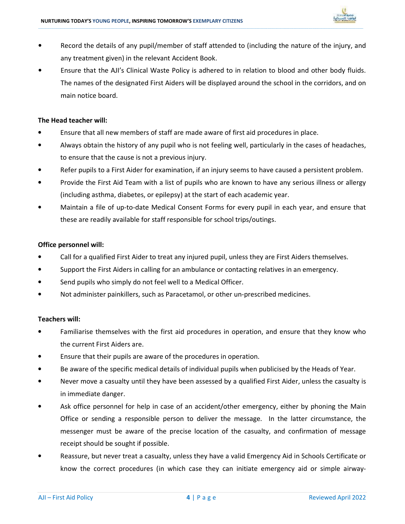

• Record the details of any pupil/member of staff attended to (including the nature of the injury, and any treatment given) in the relevant Accident Book.

\_\_\_\_\_\_\_\_\_\_\_\_\_\_\_\_\_\_\_\_\_\_\_\_\_\_\_\_\_\_\_\_\_\_\_\_\_\_\_\_\_\_\_\_\_\_\_\_\_\_\_\_\_\_\_\_\_\_\_\_\_\_\_\_\_\_\_\_\_\_\_\_\_\_\_\_\_\_\_\_\_\_\_\_\_\_\_\_\_\_\_\_\_\_\_\_\_\_\_\_\_\_\_\_\_\_\_\_\_\_\_\_\_\_\_\_\_\_\_\_\_\_\_\_\_\_\_\_\_\_\_\_\_\_\_\_\_\_\_\_\_\_\_\_\_\_\_\_\_\_\_\_\_\_\_\_\_\_\_\_\_\_\_\_\_\_\_\_\_\_\_\_\_\_\_\_\_\_\_\_\_\_\_\_\_\_\_\_\_\_\_\_\_\_\_\_\_\_\_\_\_\_\_\_\_\_\_\_\_\_\_\_\_\_\_\_\_\_\_\_\_\_\_\_\_\_\_\_\_\_\_\_\_\_\_\_\_\_\_\_\_\_\_\_\_\_\_\_\_\_\_\_\_\_\_\_\_\_\_\_\_\_\_\_\_\_\_\_\_\_\_\_\_\_\_\_\_\_\_\_\_\_\_\_\_\_\_\_\_\_\_\_\_\_\_\_\_\_\_\_\_\_\_\_\_\_\_\_\_\_\_\_\_\_\_\_\_\_\_\_\_\_\_\_\_\_\_\_\_\_\_\_\_\_\_\_\_\_\_\_\_\_\_\_\_\_\_\_\_\_

• Ensure that the AJI's Clinical Waste Policy is adhered to in relation to blood and other body fluids. The names of the designated First Aiders will be displayed around the school in the corridors, and on main notice board.

### The Head teacher will:

- Ensure that all new members of staff are made aware of first aid procedures in place.
- Always obtain the history of any pupil who is not feeling well, particularly in the cases of headaches, to ensure that the cause is not a previous injury.
- Refer pupils to a First Aider for examination, if an injury seems to have caused a persistent problem.
- Provide the First Aid Team with a list of pupils who are known to have any serious illness or allergy (including asthma, diabetes, or epilepsy) at the start of each academic year.
- Maintain a file of up-to-date Medical Consent Forms for every pupil in each year, and ensure that these are readily available for staff responsible for school trips/outings.

### Office personnel will:

- Call for a qualified First Aider to treat any injured pupil, unless they are First Aiders themselves.
- Support the First Aiders in calling for an ambulance or contacting relatives in an emergency.
- Send pupils who simply do not feel well to a Medical Officer.
- Not administer painkillers, such as Paracetamol, or other un-prescribed medicines.

### Teachers will:

- Familiarise themselves with the first aid procedures in operation, and ensure that they know who the current First Aiders are.
- Ensure that their pupils are aware of the procedures in operation.
- Be aware of the specific medical details of individual pupils when publicised by the Heads of Year.
- Never move a casualty until they have been assessed by a qualified First Aider, unless the casualty is in immediate danger.
- Ask office personnel for help in case of an accident/other emergency, either by phoning the Main Office or sending a responsible person to deliver the message. In the latter circumstance, the messenger must be aware of the precise location of the casualty, and confirmation of message receipt should be sought if possible.
- Reassure, but never treat a casualty, unless they have a valid Emergency Aid in Schools Certificate or know the correct procedures (in which case they can initiate emergency aid or simple airway-